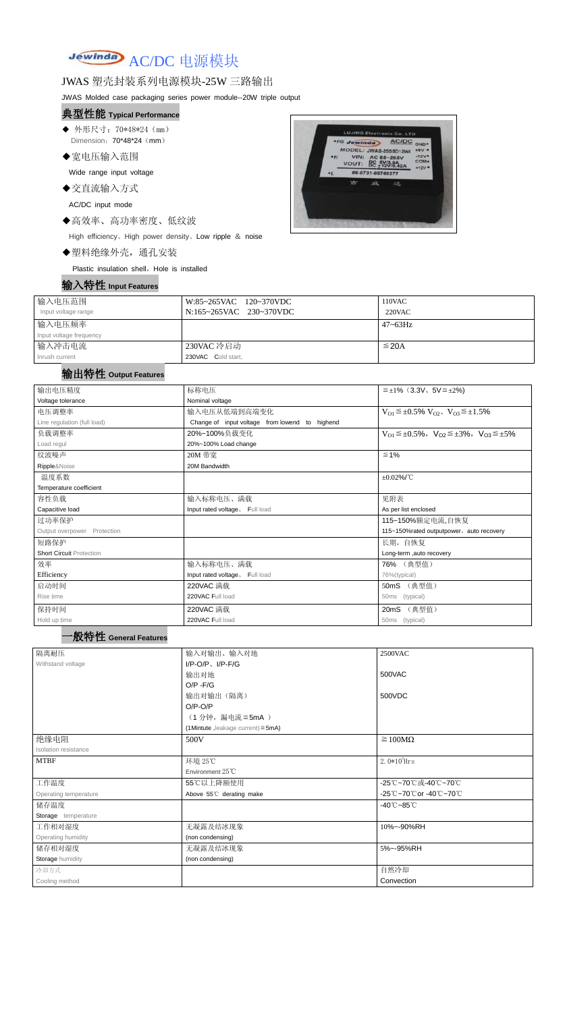# Jewinda AC/DC 电源模块

#### JWAS 塑壳封装系列电源模块-25W 三路输出

JWAS Molded case packaging series power module--20W triple output

- ◆ 外形尺寸: 70\*48\*24 (mm) Dimension: 70\*48\*24 (mm)
- ◆宽电压输入范围

#### 典型性能 **Typical Performance**

Wide range input voltage

◆交直流输入方式

AC/DC input mode

◆高效率、高功率密度、低纹波

High efficiency、High power density、Low ripple & noise

◆塑料绝缘外壳,通孔安装

Plastic insulation shell, Hole is installed



| 输入电压范围                  | W:85~265VAC 120~370VDC  | 110VAC          |
|-------------------------|-------------------------|-----------------|
| Input voltage range     | N:165~265VAC 230~370VDC | $220$ VAC       |
| 输入电压频率                  |                         | $47 \sim 63$ Hz |
| Input voltage frequency |                         |                 |
| 输入冲击电流                  | 230VAC 冷启动              | $\leq$ 20A      |
| Inrush current          | 230VAC Cold start,      |                 |

#### 输出特性 **Output Features**

# 一般特性 **General Features**

| 输出电压精度                          | 标称电压                                                   | $\leq \pm 1\%$ (3.3V, 5V $\leq \pm 2\%$ )                               |  |  |  |
|---------------------------------|--------------------------------------------------------|-------------------------------------------------------------------------|--|--|--|
| Voltage tolerance               | Nominal voltage                                        |                                                                         |  |  |  |
| 电压调整率                           | 输入电压从低端到高端变化                                           | $V_{O1} \leq \pm 0.5\% \ V_{O2}$ , $V_{O3} \leq \pm 1.5\%$              |  |  |  |
| Line regulation (full load)     | Change of input voltage from lowend to highend         |                                                                         |  |  |  |
| 负载调整率                           | 20%~100%负载变化                                           | $V_{O1} \leq \pm 0.5\%$ , $V_{O2} \leq \pm 3\%$ , $V_{O3} \leq \pm 5\%$ |  |  |  |
| Load regul                      | 20%~100% Load change                                   |                                                                         |  |  |  |
| 纹波噪声                            | 20M 带宽                                                 | $\leq 1\%$                                                              |  |  |  |
| Ripple&Noise                    | 20M Bandwidth                                          |                                                                         |  |  |  |
| 温度系数                            |                                                        | $\pm 0.02\%$ /°C                                                        |  |  |  |
| Temperature coefficient         |                                                        |                                                                         |  |  |  |
| 容性负载                            | 输入标称电压、满载                                              | 见附表                                                                     |  |  |  |
| Capacitive load                 | Input rated voltage. Full load<br>As per list enclosed |                                                                         |  |  |  |
| 过功率保护                           |                                                        | 115~150%额定电流,自恢复                                                        |  |  |  |
| Output overpower Protection     |                                                        | 115~150%rated outputpower, auto recovery                                |  |  |  |
| 短路保护                            |                                                        | 长期, 自恢复                                                                 |  |  |  |
| <b>Short Circuit Protection</b> |                                                        | Long-term ,auto recovery                                                |  |  |  |
| 效率                              | 输入标称电压、满载                                              | 76% (典型值)                                                               |  |  |  |
| Efficiency                      | Input rated voltage. Full load                         | 76%(typical)                                                            |  |  |  |
| 启动时间                            | 220VAC 满载                                              | 50mS (典型值)                                                              |  |  |  |
| Rise time                       | 220VAC Full load                                       | 50ms (typical)                                                          |  |  |  |
| 保持时间                            | 220VAC 满载                                              | 20mS (典型值)                                                              |  |  |  |
|                                 |                                                        |                                                                         |  |  |  |

| 隔离耐压                        | 输入对输出、输入对地                              | 2500VAC                         |  |
|-----------------------------|-----------------------------------------|---------------------------------|--|
| Withstand voltage           | $I/P$ -O/P, $I/P$ -F/G                  |                                 |  |
|                             | 输出对地                                    | 500VAC                          |  |
|                             | $O/P - F/G$                             |                                 |  |
|                             | 输出对输出(隔离)                               | 500VDC                          |  |
|                             | $O/P-O/P$                               |                                 |  |
|                             | (1分钟,漏电流≦5mA)                           |                                 |  |
|                             | (1Mintute, leakage current) $\leq$ 5mA) |                                 |  |
| 绝缘电阻                        | 500V                                    | $\geq 100M\Omega$               |  |
| <b>Isolation resistance</b> |                                         |                                 |  |
| <b>MTBF</b>                 | 环境 25℃                                  | 2. $0*10^5$ Hrs                 |  |
|                             | Environment $25^{\circ}$ C              |                                 |  |
|                             |                                         |                                 |  |
| 工作温度                        | 55℃以上降额使用                               | -25℃~70℃或-40℃~70℃               |  |
| Operating temperature       | Above 55°C derating make                | -25℃~70℃or -40℃~70℃             |  |
| 储存温度                        |                                         | $-40^{\circ}$ C $-85^{\circ}$ C |  |
| Storage temperature         |                                         |                                 |  |
| 工作相对湿度                      | 无凝露及结冰现象                                | 10%~-90%RH                      |  |
| Operating humidity          | (non condensing)                        |                                 |  |
| 储存相对湿度                      | 无凝露及结冰现象                                | 5%~-95%RH                       |  |
| Storage humidity            | (non condensing)                        |                                 |  |
| 冷却方式                        |                                         | 自然冷却                            |  |
| Cooling method              |                                         | Convection                      |  |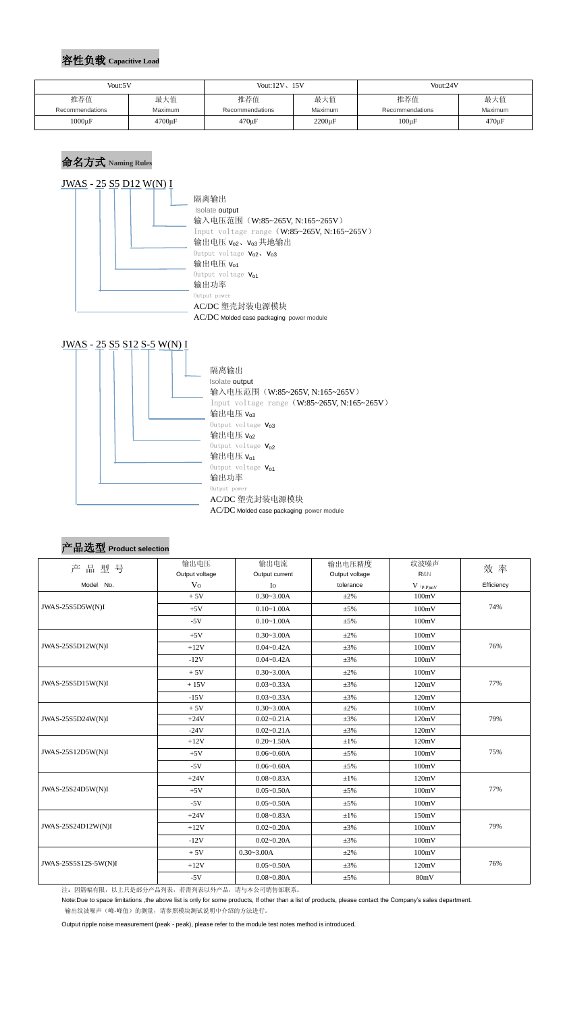#### 容性负载 **Capacitive Load**

#### 命名方式 **Naming Rules**





| 产品选型 Product selection |  |  |
|------------------------|--|--|
|------------------------|--|--|

|                      | 输出电压           | 输出电流           | 输出电压精度         | 纹波噪声             |            |
|----------------------|----------------|----------------|----------------|------------------|------------|
| 产品型号                 | Output voltage | Output current | Output voltage | R&N              | 效率         |
| Model No.            | V <sub>0</sub> | $I_{\rm O}$    | tolerance      | $V$ $_{(P-P)mV}$ | Efficiency |
|                      | $+5V$          | $0.30 - 3.00A$ | $\pm 2\%$      | 100mV            |            |
| JWAS-25S5D5W(N)I     | $+5V$          | $0.10 - 1.00A$ | $\pm$ 5%       | 100mV            | 74%        |
|                      | $-5V$          | $0.10 - 1.00A$ | $\pm 5\%$      | 100mV            |            |
|                      | $+5V$          | $0.30 - 3.00A$ | $\pm 2\%$      | 100mV            |            |
| JWAS-25S5D12W(N)I    | $+12V$         | $0.04 - 0.42A$ | $\pm 3\%$      | 100mV            | 76%        |
|                      | $-12V$         | $0.04 - 0.42A$ | $\pm 3\%$      | 100mV            |            |
|                      | $+5V$          | $0.30 - 3.00A$ | $\pm 2\%$      | 100mV            |            |
| JWAS-25S5D15W(N)I    | $+15V$         | $0.03 - 0.33A$ | $\pm 3\%$      | 120mV            | 77%        |
|                      | $-15V$         | $0.03 - 0.33A$ | $\pm 3\%$      | 120mV            |            |
| JWAS-25S5D24W(N)I    | $+5V$          | $0.30 - 3.00A$ | $\pm 2\%$      | 100mV            |            |
|                      | $+24V$         | $0.02 - 0.21A$ | $\pm 3\%$      | 120mV            | 79%        |
|                      | $-24V$         | $0.02 - 0.21A$ | $\pm 3\%$      | 120mV            |            |
|                      | $+12V$         | $0.20 - 1.50A$ | $\pm 1\%$      | 120mV            |            |
| JWAS-25S12D5W(N)I    | $+5V$          | $0.06 - 0.60A$ | $\pm 5\%$      | 100mV            | 75%        |
|                      | $-5V$          | $0.06 - 0.60A$ | $\pm 5\%$      | 100mV            |            |
|                      | $+24V$         | $0.08 - 0.83A$ | $\pm 1\%$      | 120mV            |            |
| JWAS-25S24D5W(N)I    | $+5V$          | $0.05 - 0.50A$ | $\pm 5\%$      | 100mV            | 77%        |
|                      | $-5V$          | $0.05 - 0.50A$ | $\pm$ 5%       | 100mV            |            |
| JWAS-25S24D12W(N)I   | $+24V$         | $0.08 - 0.83A$ | $\pm 1\%$      | 150mV            |            |
|                      | $+12V$         | $0.02 - 0.20A$ | $\pm 3\%$      | 100mV            | 79%        |
|                      | $-12V$         | $0.02 - 0.20A$ | $\pm 3\%$      | 100mV            |            |
|                      | $+5V$          | $0.30 - 3.00A$ | $\pm 2\%$      | 100mV            |            |
| JWAS-25S5S12S-5W(N)I | $+12V$         | $0.05 - 0.50A$ | $\pm 3\%$      | 120mV            | 76%        |
|                      | $-5V$          | $0.08 - 0.80A$ | $\pm 5\%$      | 80mV             |            |

注:因篇幅有限,以上只是部分产品列表,若需列表以外产品,请与本公司销售部联系。

Note:Due to space limitations ,the above list is only for some products, If other than a list of products, please contact the Company's sales department. 输出纹波噪声(峰-峰值)的测量,请参照模块测试说明中介绍的方法进行。

Output ripple noise measurement (peak - peak), please refer to the module test notes method is introduced.

| Vout:5V         |                | Vout: $12V$ , $15V$ |              | Vout:24V        |             |
|-----------------|----------------|---------------------|--------------|-----------------|-------------|
| 推荐值             | 最大值            | 推荐值                 | 最大值          | 推荐值             | 最大值         |
| Recommendations | <b>Maximum</b> | Recommendations     | Maximum      | Recommendations | Maximum     |
| $1000\mu F$     | $4700 \mu F$   | $470 \mu F$         | $2200 \mu F$ | $100 \mu F$     | $470 \mu F$ |